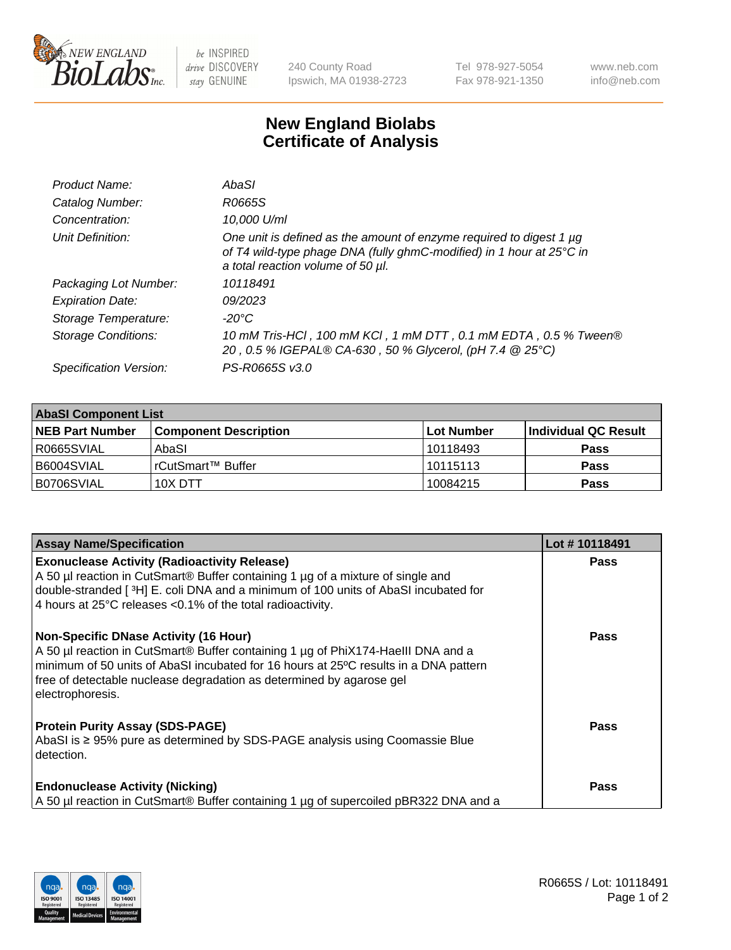

be INSPIRED drive DISCOVERY stay GENUINE

240 County Road Ipswich, MA 01938-2723 Tel 978-927-5054 Fax 978-921-1350 www.neb.com info@neb.com

## **New England Biolabs Certificate of Analysis**

| Product Name:           | AbaSI                                                                                                                                                                            |
|-------------------------|----------------------------------------------------------------------------------------------------------------------------------------------------------------------------------|
| Catalog Number:         | R0665S                                                                                                                                                                           |
| Concentration:          | 10.000 U/ml                                                                                                                                                                      |
| Unit Definition:        | One unit is defined as the amount of enzyme required to digest 1 µg<br>of T4 wild-type phage DNA (fully ghmC-modified) in 1 hour at 25°C in<br>a total reaction volume of 50 µl. |
| Packaging Lot Number:   | 10118491                                                                                                                                                                         |
| <b>Expiration Date:</b> | 09/2023                                                                                                                                                                          |
| Storage Temperature:    | $-20^{\circ}$ C                                                                                                                                                                  |
| Storage Conditions:     | 10 mM Tris-HCl, 100 mM KCl, 1 mM DTT, 0.1 mM EDTA, 0.5 % Tween®<br>20, 0.5 % IGEPAL® CA-630, 50 % Glycerol, (pH 7.4 @ 25°C)                                                      |
| Specification Version:  | PS-R0665S v3.0                                                                                                                                                                   |

| <b>AbaSI Component List</b> |                              |            |                       |  |
|-----------------------------|------------------------------|------------|-----------------------|--|
| <b>INEB Part Number</b>     | <b>Component Description</b> | Lot Number | ∣Individual QC Result |  |
| R0665SVIAL                  | AbaSI                        | 10118493   | <b>Pass</b>           |  |
| B6004SVIAL                  | l rCutSmart™ Buffer          | 10115113   | <b>Pass</b>           |  |
| B0706SVIAL                  | 10X DTT                      | 10084215   | <b>Pass</b>           |  |

| <b>Assay Name/Specification</b>                                                                                                                                                                                                                                                                                      | Lot #10118491 |
|----------------------------------------------------------------------------------------------------------------------------------------------------------------------------------------------------------------------------------------------------------------------------------------------------------------------|---------------|
| <b>Exonuclease Activity (Radioactivity Release)</b><br>A 50 µl reaction in CutSmart® Buffer containing 1 µg of a mixture of single and<br>double-stranded [3H] E. coli DNA and a minimum of 100 units of AbaSI incubated for<br>4 hours at 25°C releases <0.1% of the total radioactivity.                           | <b>Pass</b>   |
| <b>Non-Specific DNase Activity (16 Hour)</b><br>A 50 µl reaction in CutSmart® Buffer containing 1 µg of PhiX174-Haelll DNA and a<br>minimum of 50 units of AbaSI incubated for 16 hours at 25°C results in a DNA pattern<br>free of detectable nuclease degradation as determined by agarose gel<br>electrophoresis. | <b>Pass</b>   |
| <b>Protein Purity Assay (SDS-PAGE)</b><br>AbaSI is ≥ 95% pure as determined by SDS-PAGE analysis using Coomassie Blue<br>detection.                                                                                                                                                                                  | Pass          |
| <b>Endonuclease Activity (Nicking)</b><br>A 50 µl reaction in CutSmart® Buffer containing 1 µg of supercoiled pBR322 DNA and a                                                                                                                                                                                       | Pass          |